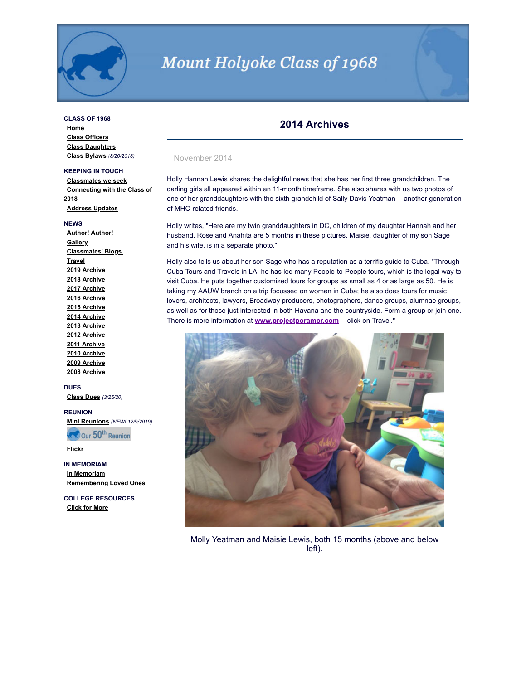

# Mount Holyoke Class of 1968

# **CLASS OF 1968**

**[Home](http://www.mhc1968.com/index.asp) [Class Officers](http://www.mhc1968.com/officers.asp) [Class Daughters](http://www.mhc1968.com/daughters.asp) [Class Bylaws](http://www.mhc1968.com/Bylaws.asp)** *(8/20/2018)*

# **KEEPING IN TOUCH**

**[Classmates we seek](http://www.mhc1968.com/lostclassmates.asp) [Connecting with the Class of](http://www.mhc1968.com/sisters.asp) 2018 [Address Updates](http://www.mhc1968.com/updates.asp)**

#### **NEWS**

**[Author! Author!](http://www.mhc1968.com/author.asp) [Gallery](http://www.mhc1968.com/gallery/gallery.asp) [Classmates' Blogs](http://www.mhc1968.com/blog.asp)  [Travel](http://www.mhc1968.com/travel.asp) [2019 Archive](http://www.mhc1968.com/archive2019.asp) [2018 Archive](http://www.mhc1968.com/archive2018.asp) [2017 Archive](http://www.mhc1968.com/archive2017.asp) [2016 Archive](http://www.mhc1968.com/archive2016.asp) [2015 Archive](http://www.mhc1968.com/archive2015.asp) [2014 Archive](http://www.mhc1968.com/archive2014.asp) [2013 Archive](http://www.mhc1968.com/archive2013.asp) [2012 Archive](http://www.mhc1968.com/archive2012.asp) [2011 Archive](http://www.mhc1968.com/archive2011.asp) [2010 Archive](http://www.mhc1968.com/archive2010.asp) [2009 Archive](http://www.mhc1968.com/archive2009.asp) [2008 Archive](http://www.mhc1968.com/archive2008.asp)**

#### **DUES**

**[Class Dues](http://www.mhc1968.com/dues.asp)** *(3/25/20)*

# **REUNION**

**[Mini Reunions](http://www.mhc1968.com/MiniReunions.asp)** *(NEW! 12/9/2019)*

**READ Our 50th Reunion** 

**[Flickr](https://www.flickr.com/photos/162666628@N03/)**

# **IN MEMORIAM [In Memoriam](http://www.mhc1968.com/memoriam.asp) [Remembering Loved Ones](http://www.mhc1968.com/remember.asp)**

**COLLEGE RESOURCES [Click for More](http://www.mhc1968.com/resources.asp)**

# **2014 Archives**

#### November 2014

Holly Hannah Lewis shares the delightful news that she has her first three grandchildren. The darling girls all appeared within an 11-month timeframe. She also shares with us two photos of one of her granddaughters with the sixth grandchild of Sally Davis Yeatman -- another generation of MHC-related friends.

Holly writes, "Here are my twin granddaughters in DC, children of my daughter Hannah and her husband. Rose and Anahita are 5 months in these pictures. Maisie, daughter of my son Sage and his wife, is in a separate photo."

Holly also tells us about her son Sage who has a reputation as a terrific guide to Cuba. "Through Cuba Tours and Travels in LA, he has led many People-to-People tours, which is the legal way to visit Cuba. He puts together customized tours for groups as small as 4 or as large as 50. He is taking my AAUW branch on a trip focussed on women in Cuba; he also does tours for music lovers, architects, lawyers, Broadway producers, photographers, dance groups, alumnae groups, as well as for those just interested in both Havana and the countryside. Form a group or join one. There is more information at **[www.projectporamor.com](http://www.projectporamor.com/)** -- click on Travel."



Molly Yeatman and Maisie Lewis, both 15 months (above and below left).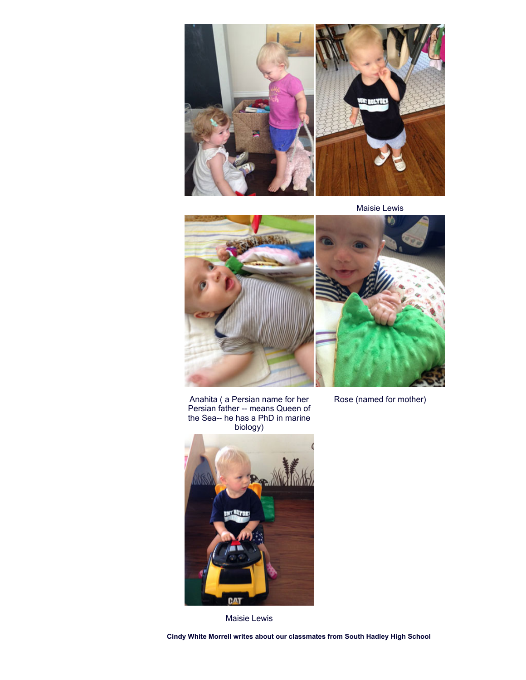

Maisie Lewis





Rose (named for mother)

Anahita ( a Persian name for her Persian father -- means Queen of the Sea-- he has a PhD in marine biology)



Maisie Lewis

**Cindy White Morrell writes about our classmates from South Hadley High School**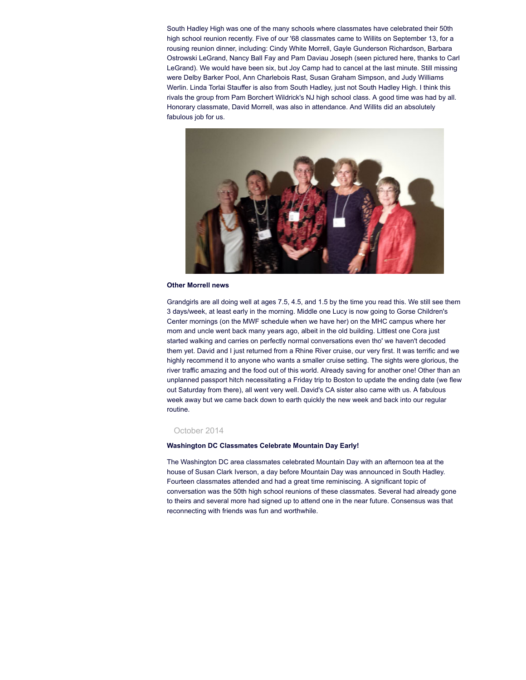South Hadley High was one of the many schools where classmates have celebrated their 50th high school reunion recently. Five of our '68 classmates came to Willits on September 13, for a rousing reunion dinner, including: Cindy White Morrell, Gayle Gunderson Richardson, Barbara Ostrowski LeGrand, Nancy Ball Fay and Pam Daviau Joseph (seen pictured here, thanks to Carl LeGrand). We would have been six, but Joy Camp had to cancel at the last minute. Still missing were Delby Barker Pool, Ann Charlebois Rast, Susan Graham Simpson, and Judy Williams Werlin. Linda Torlai Stauffer is also from South Hadley, just not South Hadley High. I think this rivals the group from Pam Borchert Wildrick's NJ high school class. A good time was had by all. Honorary classmate, David Morrell, was also in attendance. And Willits did an absolutely fabulous job for us.



#### **Other Morrell news**

Grandgirls are all doing well at ages 7.5, 4.5, and 1.5 by the time you read this. We still see them 3 days/week, at least early in the morning. Middle one Lucy is now going to Gorse Children's Center mornings (on the MWF schedule when we have her) on the MHC campus where her mom and uncle went back many years ago, albeit in the old building. Littlest one Cora just started walking and carries on perfectly normal conversations even tho' we haven't decoded them yet. David and I just returned from a Rhine River cruise, our very first. It was terrific and we highly recommend it to anyone who wants a smaller cruise setting. The sights were glorious, the river traffic amazing and the food out of this world. Already saving for another one! Other than an unplanned passport hitch necessitating a Friday trip to Boston to update the ending date (we flew out Saturday from there), all went very well. David's CA sister also came with us. A fabulous week away but we came back down to earth quickly the new week and back into our regular routine.

#### October 2014

#### **Washington DC Classmates Celebrate Mountain Day Early!**

The Washington DC area classmates celebrated Mountain Day with an afternoon tea at the house of Susan Clark Iverson, a day before Mountain Day was announced in South Hadley. Fourteen classmates attended and had a great time reminiscing. A significant topic of conversation was the 50th high school reunions of these classmates. Several had already gone to theirs and several more had signed up to attend one in the near future. Consensus was that reconnecting with friends was fun and worthwhile.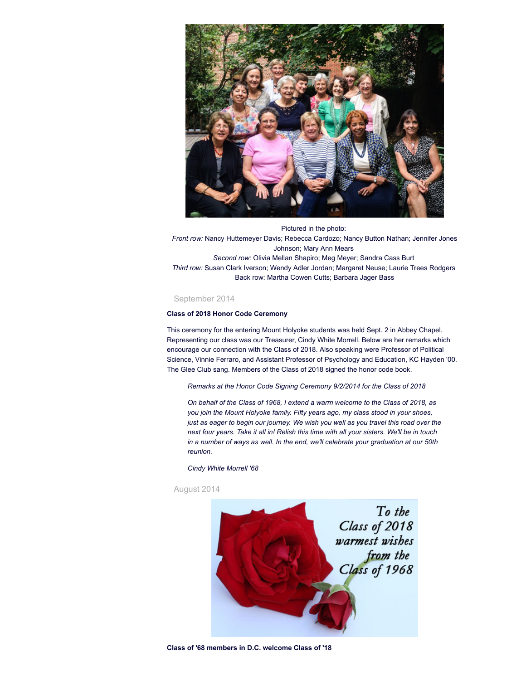

Pictured in the photo: *Front row:* Nancy Huttemeyer Davis; Rebecca Cardozo; Nancy Button Nathan; Jennifer Jones Johnson; Mary Ann Mears *Second row:* Olivia Mellan Shapiro; Meg Meyer; Sandra Cass Burt *Third row:* Susan Clark Iverson; Wendy Adler Jordan; Margaret Neuse; Laurie Trees Rodgers Back row: Martha Cowen Cutts; Barbara Jager Bass

## September 2014

# **Class of 2018 Honor Code Ceremony**

This ceremony for the entering Mount Holyoke students was held Sept. 2 in Abbey Chapel. Representing our class was our Treasurer, Cindy White Morrell. Below are her remarks which encourage our connection with the Class of 2018. Also speaking were Professor of Political Science, Vinnie Ferraro, and Assistant Professor of Psychology and Education, KC Hayden '00. The Glee Club sang. Members of the Class of 2018 signed the honor code book.

*Remarks at the Honor Code Signing Ceremony 9/2/2014 for the Class of 2018*

*On behalf of the Class of 1968, I extend a warm welcome to the Class of 2018, as you join the Mount Holyoke family. Fifty years ago, my class stood in your shoes, just as eager to begin our journey. We wish you well as you travel this road over the next four years. Take it all in! Relish this time with all your sisters. We'll be in touch in a number of ways as well. In the end, we'll celebrate your graduation at our 50th reunion.*

*Cindy White Morrell '68*



August 2014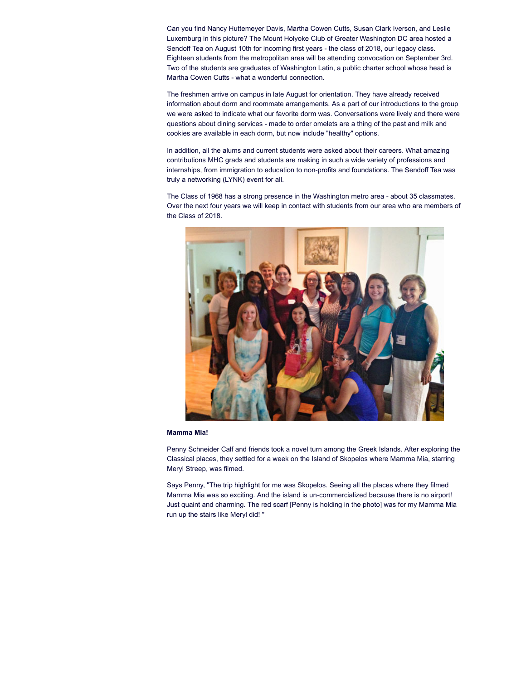Can you find Nancy Huttemeyer Davis, Martha Cowen Cutts, Susan Clark Iverson, and Leslie Luxemburg in this picture? The Mount Holyoke Club of Greater Washington DC area hosted a Sendoff Tea on August 10th for incoming first years - the class of 2018, our legacy class. Eighteen students from the metropolitan area will be attending convocation on September 3rd. Two of the students are graduates of Washington Latin, a public charter school whose head is Martha Cowen Cutts - what a wonderful connection.

The freshmen arrive on campus in late August for orientation. They have already received information about dorm and roommate arrangements. As a part of our introductions to the group we were asked to indicate what our favorite dorm was. Conversations were lively and there were questions about dining services - made to order omelets are a thing of the past and milk and cookies are available in each dorm, but now include "healthy" options.

In addition, all the alums and current students were asked about their careers. What amazing contributions MHC grads and students are making in such a wide variety of professions and internships, from immigration to education to non-profits and foundations. The Sendoff Tea was truly a networking (LYNK) event for all.

The Class of 1968 has a strong presence in the Washington metro area - about 35 classmates. Over the next four years we will keep in contact with students from our area who are members of the Class of 2018.



#### **Mamma Mia!**

Penny Schneider Calf and friends took a novel turn among the Greek Islands. After exploring the Classical places, they settled for a week on the Island of Skopelos where Mamma Mia, starring Meryl Streep, was filmed.

Says Penny, "The trip highlight for me was Skopelos. Seeing all the places where they filmed Mamma Mia was so exciting. And the island is un-commercialized because there is no airport! Just quaint and charming. The red scarf [Penny is holding in the photo] was for my Mamma Mia run up the stairs like Meryl did! "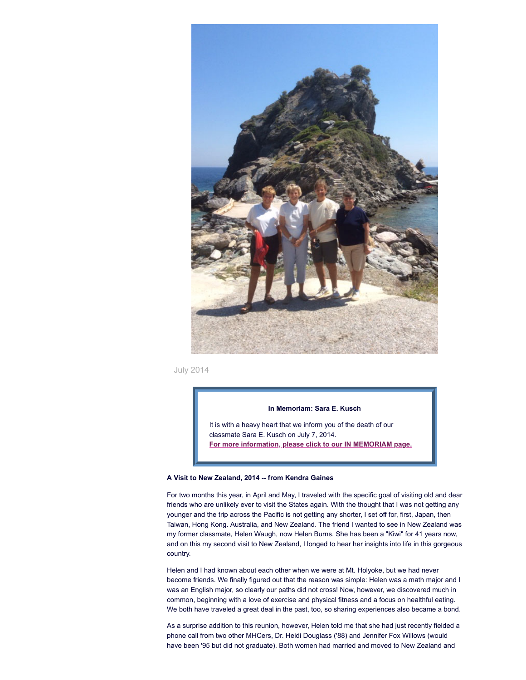

July 2014

# **In Memoriam: Sara E. Kusch**

It is with a heavy heart that we inform you of the death of our classmate Sara E. Kusch on July 7, 2014. **For more [information,](http://www.mhc1968.com/memoriam.asp) please click to our IN MEMORIAM page.**

#### **A Visit to New Zealand, 2014 -- from Kendra Gaines**

For two months this year, in April and May, I traveled with the specific goal of visiting old and dear friends who are unlikely ever to visit the States again. With the thought that I was not getting any younger and the trip across the Pacific is not getting any shorter, I set off for, first, Japan, then Taiwan, Hong Kong. Australia, and New Zealand. The friend I wanted to see in New Zealand was my former classmate, Helen Waugh, now Helen Burns. She has been a "Kiwi" for 41 years now, and on this my second visit to New Zealand, I longed to hear her insights into life in this gorgeous country.

Helen and I had known about each other when we were at Mt. Holyoke, but we had never become friends. We finally figured out that the reason was simple: Helen was a math major and I was an English major, so clearly our paths did not cross! Now, however, we discovered much in common, beginning with a love of exercise and physical fitness and a focus on healthful eating. We both have traveled a great deal in the past, too, so sharing experiences also became a bond.

As a surprise addition to this reunion, however, Helen told me that she had just recently fielded a phone call from two other MHCers, Dr. Heidi Douglass ('88) and Jennifer Fox Willows (would have been '95 but did not graduate). Both women had married and moved to New Zealand and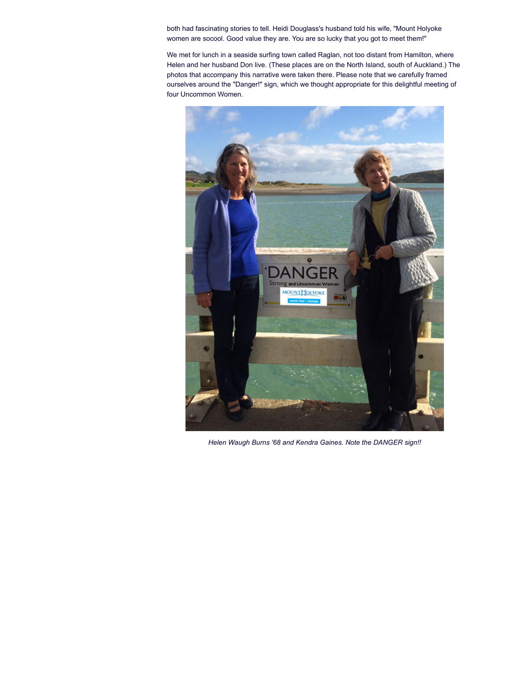both had fascinating stories to tell. Heidi Douglass's husband told his wife, "Mount Holyoke women are socool. Good value they are. You are so lucky that you got to meet them!"

We met for lunch in a seaside surfing town called Raglan, not too distant from Hamilton, where Helen and her husband Don live. (These places are on the North Island, south of Auckland.) The photos that accompany this narrative were taken there. Please note that we carefully framed ourselves around the "Danger!" sign, which we thought appropriate for this delightful meeting of four Uncommon Women.



*Helen Waugh Burns '68 and Kendra Gaines. Note the DANGER sign!!*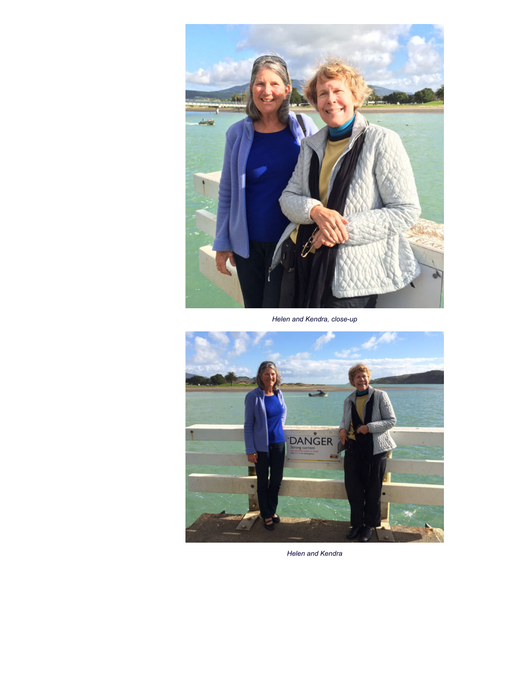

*Helen and Kendra, close-up*



*Helen and Kendra*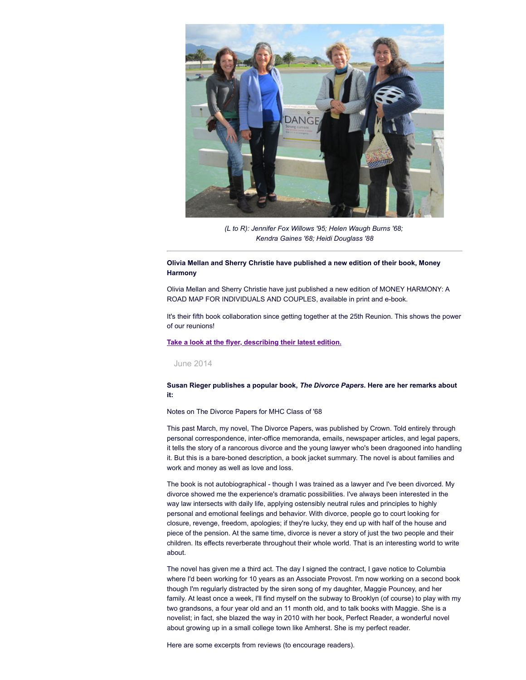

*(L to R): Jennifer Fox Willows '95; Helen Waugh Burns '68; Kendra Gaines '68; Heidi Douglass '88*

# **Olivia Mellan and Sherry Christie have published a new edition of their book, Money Harmony**

Olivia Mellan and Sherry Christie have just published a new edition of MONEY HARMONY: A ROAD MAP FOR INDIVIDUALS AND COUPLES, available in print and e-book.

It's their fifth book collaboration since getting together at the 25th Reunion. This shows the power of our reunions!

## **Take a look at the flyer, [describing](http://www.mhc1968.com/images/Money-Harmony-Flyer.pdf) their latest edition.**

# June 2014

# **Susan Rieger publishes a popular book,** *The Divorce Papers***. Here are her remarks about it:**

Notes on The Divorce Papers for MHC Class of '68

This past March, my novel, The Divorce Papers, was published by Crown. Told entirely through personal correspondence, inter-office memoranda, emails, newspaper articles, and legal papers, it tells the story of a rancorous divorce and the young lawyer who's been dragooned into handling it. But this is a bare-boned description, a book jacket summary. The novel is about families and work and money as well as love and loss.

The book is not autobiographical - though I was trained as a lawyer and I've been divorced. My divorce showed me the experience's dramatic possibilities. I've always been interested in the way law intersects with daily life, applying ostensibly neutral rules and principles to highly personal and emotional feelings and behavior. With divorce, people go to court looking for closure, revenge, freedom, apologies; if they're lucky, they end up with half of the house and piece of the pension. At the same time, divorce is never a story of just the two people and their children. Its effects reverberate throughout their whole world. That is an interesting world to write about.

The novel has given me a third act. The day I signed the contract, I gave notice to Columbia where I'd been working for 10 years as an Associate Provost. I'm now working on a second book though I'm regularly distracted by the siren song of my daughter, Maggie Pouncey, and her family. At least once a week, I'll find myself on the subway to Brooklyn (of course) to play with my two grandsons, a four year old and an 11 month old, and to talk books with Maggie. She is a novelist; in fact, she blazed the way in 2010 with her book, Perfect Reader, a wonderful novel about growing up in a small college town like Amherst. She is my perfect reader.

Here are some excerpts from reviews (to encourage readers).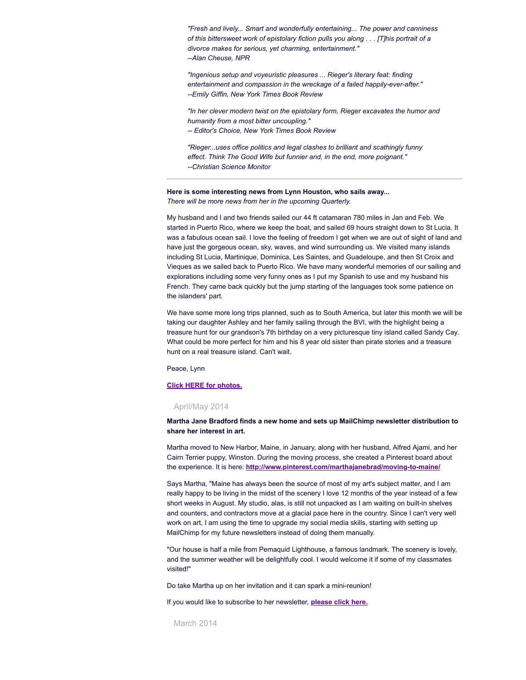*"Fresh and lively... Smart and wonderfully entertaining... The power and canniness of this bittersweet work of epistolary fiction pulls you along . . . [T]his portrait of a divorce makes for serious, yet charming, entertainment." --Alan Cheuse, NPR*

*"Ingenious setup and voyeuristic pleasures ... Rieger's literary feat: finding entertainment and compassion in the wreckage of a failed happily-ever-after." --Emily Giffin, New York Times Book Review*

*"In her clever modern twist on the epistolary form, Rieger excavates the humor and humanity from a most bitter uncoupling." -- Editor's Choice, New York Times Book Review*

*"Rieger...uses office politics and legal clashes to brilliant and scathingly funny effect. Think The Good Wife but funnier and, in the end, more poignant." --Christian Science Monitor*

#### **Here is some interesting news from Lynn Houston, who sails away...**

*There will be more news from her in the upcoming Quarterly.*

My husband and I and two friends sailed our 44 ft catamaran 780 miles in Jan and Feb. We started in Puerto Rico, where we keep the boat, and sailed 69 hours straight down to St Lucia. It was a fabulous ocean sail. I love the feeling of freedom I get when we are out of sight of land and have just the gorgeous ocean, sky, waves, and wind surrounding us. We visited many islands including St Lucia, Martinique, Dominica, Les Saintes, and Guadeloupe, and then St Croix and Vieques as we sailed back to Puerto Rico. We have many wonderful memories of our sailing and explorations including some very funny ones as I put my Spanish to use and my husband his French. They came back quickly but the jump starting of the languages took some patience on the islanders' part.

We have some more long trips planned, such as to South America, but later this month we will be taking our daughter Ashley and her family sailing through the BVI, with the highlight being a treasure hunt for our grandson's 7th birthday on a very picturesque tiny island called Sandy Cay. What could be more perfect for him and his 8 year old sister than pirate stories and a treasure hunt on a real treasure island. Can't wait.

Peace, Lynn

# **Click HERE for [photos.](https://mhcclassof1968.shutterfly.com/122)**

# April/May 2014

**Martha Jane Bradford finds a new home and sets up MailChimp newsletter distribution to share her interest in art.**

Martha moved to New Harbor, Maine, in January, along with her husband, Alfred Ajami, and her Cairn Terrier puppy, Winston. During the moving process, she created a Pinterest board about the experience. It is here: **<http://www.pinterest.com/marthajanebrad/moving-to-maine/>**

Says Martha, "Maine has always been the source of most of my art's subject matter, and I am really happy to be living in the midst of the scenery I love 12 months of the year instead of a few short weeks in August. My studio, alas, is still not unpacked as I am waiting on built-in shelves and counters, and contractors move at a glacial pace here in the country. Since I can't very well work on art, I am using the time to upgrade my social media skills, starting with setting up MailChimp for my future newsletters instead of doing them manually.

"Our house is half a mile from Pemaquid Lighthouse, a famous landmark. The scenery is lovely, and the summer weather will be delightfully cool. I would welcome it if some of my classmates visited!"

Do take Martha up on her invitation and it can spark a mini-reunion!

If you would like to subscribe to her newsletter, **[please](http://www.marthavista.com/subscribe-to-newsletter.html) click here.**

March 2014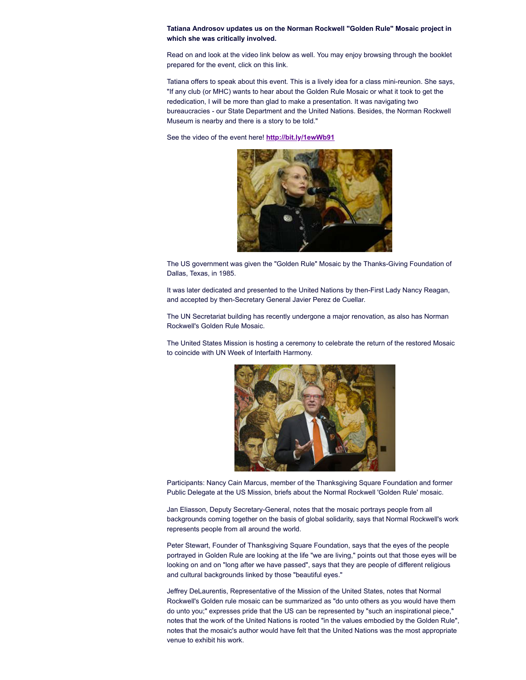# **Tatiana Androsov updates us on the Norman Rockwell "Golden Rule" Mosaic project in which she was critically involved.**

Read on and look at the video link below as well. You may enjoy browsing through the booklet prepared for the event, click on this link.

Tatiana offers to speak about this event. This is a lively idea for a class mini-reunion. She says, "If any club (or MHC) wants to hear about the Golden Rule Mosaic or what it took to get the rededication, I will be more than glad to make a presentation. It was navigating two bureaucracies - our State Department and the United Nations. Besides, the Norman Rockwell Museum is nearby and there is a story to be told."

See the video of the event here! **<http://bit.ly/1ewWb91>**



The US government was given the "Golden Rule" Mosaic by the Thanks-Giving Foundation of Dallas, Texas, in 1985.

It was later dedicated and presented to the United Nations by then-First Lady Nancy Reagan, and accepted by then-Secretary General Javier Perez de Cuellar.

The UN Secretariat building has recently undergone a major renovation, as also has Norman Rockwell's Golden Rule Mosaic.

The United States Mission is hosting a ceremony to celebrate the return of the restored Mosaic to coincide with UN Week of Interfaith Harmony.



Participants: Nancy Cain Marcus, member of the Thanksgiving Square Foundation and former Public Delegate at the US Mission, briefs about the Normal Rockwell 'Golden Rule' mosaic.

Jan Eliasson, Deputy Secretary-General, notes that the mosaic portrays people from all backgrounds coming together on the basis of global solidarity, says that Normal Rockwell's work represents people from all around the world.

Peter Stewart, Founder of Thanksgiving Square Foundation, says that the eyes of the people portrayed in Golden Rule are looking at the life "we are living," points out that those eyes will be looking on and on "long after we have passed", says that they are people of different religious and cultural backgrounds linked by those "beautiful eyes."

Jeffrey DeLaurentis, Representative of the Mission of the United States, notes that Normal Rockwell's Golden rule mosaic can be summarized as "do unto others as you would have them do unto you;" expresses pride that the US can be represented by "such an inspirational piece," notes that the work of the United Nations is rooted "in the values embodied by the Golden Rule", notes that the mosaic's author would have felt that the United Nations was the most appropriate venue to exhibit his work.